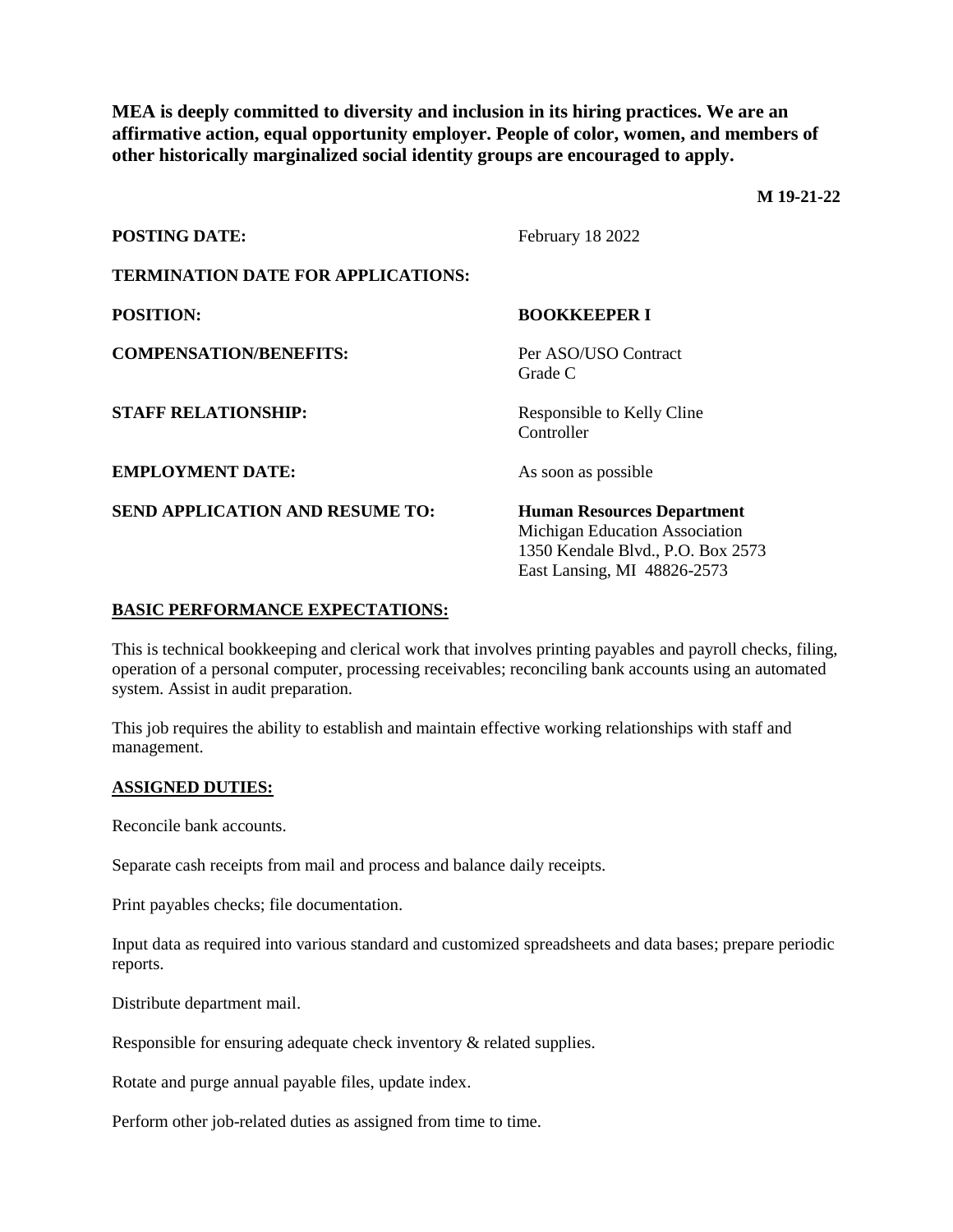**MEA is deeply committed to diversity and inclusion in its hiring practices. We are an affirmative action, equal opportunity employer. People of color, women, and members of other historically marginalized social identity groups are encouraged to apply.**

**M 19-21-22**

| <b>POSTING DATE:</b>                      | February 18 2022                                                                                                                        |  |
|-------------------------------------------|-----------------------------------------------------------------------------------------------------------------------------------------|--|
| <b>TERMINATION DATE FOR APPLICATIONS:</b> |                                                                                                                                         |  |
| <b>POSITION:</b>                          | <b>BOOKKEEPER I</b>                                                                                                                     |  |
| <b>COMPENSATION/BENEFITS:</b>             | Per ASO/USO Contract<br>Grade C                                                                                                         |  |
| <b>STAFF RELATIONSHIP:</b>                | Responsible to Kelly Cline<br>Controller                                                                                                |  |
| <b>EMPLOYMENT DATE:</b>                   | As soon as possible                                                                                                                     |  |
| <b>SEND APPLICATION AND RESUME TO:</b>    | <b>Human Resources Department</b><br>Michigan Education Association<br>1350 Kendale Blvd., P.O. Box 2573<br>East Lansing, MI 48826-2573 |  |

# **BASIC PERFORMANCE EXPECTATIONS:**

This is technical bookkeeping and clerical work that involves printing payables and payroll checks, filing, operation of a personal computer, processing receivables; reconciling bank accounts using an automated system. Assist in audit preparation.

This job requires the ability to establish and maintain effective working relationships with staff and management.

#### **ASSIGNED DUTIES:**

Reconcile bank accounts.

Separate cash receipts from mail and process and balance daily receipts.

Print payables checks; file documentation.

Input data as required into various standard and customized spreadsheets and data bases; prepare periodic reports.

Distribute department mail.

Responsible for ensuring adequate check inventory & related supplies.

Rotate and purge annual payable files, update index.

Perform other job-related duties as assigned from time to time.